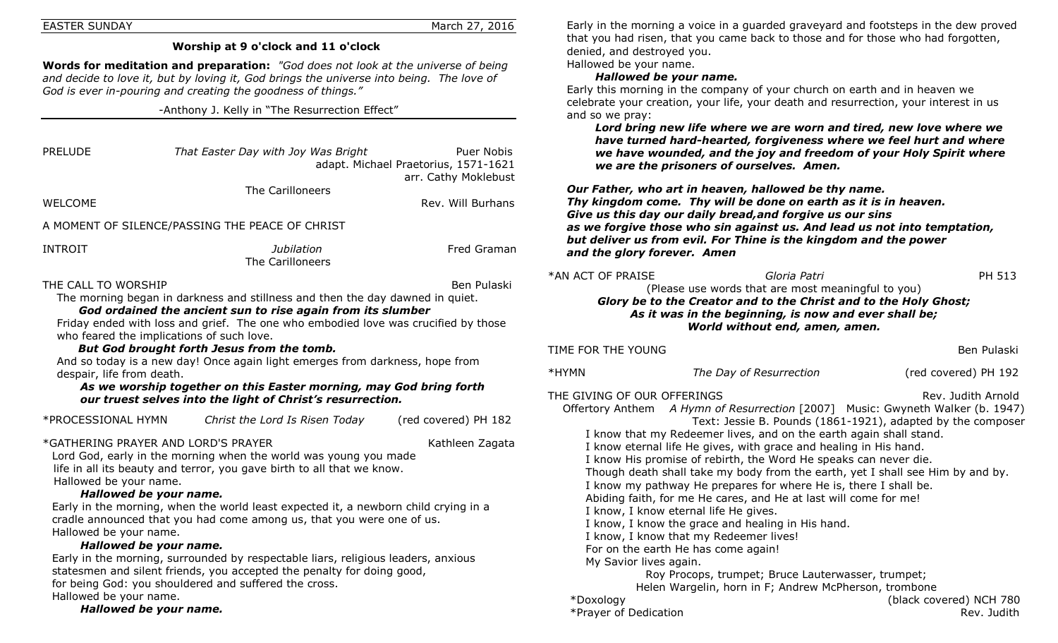#### EASTER SUNDAY March 27, 2016

#### **Worship at 9 o'clock and 11 o'clock**

**Words for meditation and preparation:** *"God does not look at the universe of being and decide to love it, but by loving it, God brings the universe into being. The love of God is ever in-pouring and creating the goodness of things."*

-Anthony J. Kelly in "The Resurrection Effect"

| <b>PRELUDE</b>                                   | That Easter Day with Joy Was Bright                                                                                                                                                                                                                                                                                                                                                                                                                                                                                                               | <b>Puer Nobis</b><br>adapt. Michael Praetorius, 1571-1621<br>arr. Cathy Moklebust |
|--------------------------------------------------|---------------------------------------------------------------------------------------------------------------------------------------------------------------------------------------------------------------------------------------------------------------------------------------------------------------------------------------------------------------------------------------------------------------------------------------------------------------------------------------------------------------------------------------------------|-----------------------------------------------------------------------------------|
| <b>WELCOME</b>                                   | The Carilloneers                                                                                                                                                                                                                                                                                                                                                                                                                                                                                                                                  | $\mathbf$<br>7<br>Rev. Will Burhans                                               |
|                                                  | A MOMENT OF SILENCE/PASSING THE PEACE OF CHRIST                                                                                                                                                                                                                                                                                                                                                                                                                                                                                                   | $\epsilon$<br>a<br>L                                                              |
| INTROIT                                          | Jubilation<br>The Carilloneers                                                                                                                                                                                                                                                                                                                                                                                                                                                                                                                    | Fred Graman<br>ā                                                                  |
| THE CALL TO WORSHIP<br>despair, life from death. | The morning began in darkness and stillness and then the day dawned in quiet.<br>God ordained the ancient sun to rise again from its slumber<br>Friday ended with loss and grief. The one who embodied love was crucified by those<br>who feared the implications of such love.<br>But God brought forth Jesus from the tomb.<br>And so today is a new day! Once again light emerges from darkness, hope from<br>As we worship together on this Easter morning, may God bring forth<br>our truest selves into the light of Christ's resurrection. | *AN<br>Ben Pulaski<br><b>TIME</b><br>*HYI<br>THE.<br>$\mathbf{O}^{\mathsf{c}}$    |
| *PROCESSIONAL HYMN                               | Christ the Lord Is Risen Today                                                                                                                                                                                                                                                                                                                                                                                                                                                                                                                    | (red covered) PH 182                                                              |
| Hallowed be your name.                           | *GATHERING PRAYER AND LORD'S PRAYER<br>Lord God, early in the morning when the world was young you made<br>life in all its beauty and terror, you gave birth to all that we know.                                                                                                                                                                                                                                                                                                                                                                 | Kathleen Zagata                                                                   |
| Hallowed be your name.                           | Hallowed be your name.<br>Early in the morning, when the world least expected it, a newborn child crying in a<br>cradle announced that you had come among us, that you were one of us.<br>Hallowed be your name.<br>Early in the morning, surrounded by respectable liars, religious leaders, anxious<br>statesmen and silent friends, you accepted the penalty for doing good,                                                                                                                                                                   |                                                                                   |

for being God: you shouldered and suffered the cross.

Hallowed be your name.

*Hallowed be your name.*

Early in the morning a voice in a guarded graveyard and footsteps in the dew proved that you had risen, that you came back to those and for those who had forgotten, denied, and destroyed you. Hallowed be your name.

#### *Hallowed be your name.*

Early this morning in the company of your church on earth and in heaven we celebrate your creation, your life, your death and resurrection, your interest in us and so we pray:

*Lord bring new life where we are worn and tired, new love where we have turned hard-hearted, forgiveness where we feel hurt and where we have wounded, and the joy and freedom of your Holy Spirit where we are the prisoners of ourselves. Amen.*

*Our Father, who art in heaven, hallowed be thy name. Thy kingdom come. Thy will be done on earth as it is in heaven. Give us this day our daily bread,and forgive us our sins as we forgive those who sin against us. And lead us not into temptation, but deliver us from evil. For Thine is the kingdom and the power and the glory forever. Amen*

| and the giory forever. Amen                                                                                                                                                                                                                                                                                                                                                                                                                                                                                                                                                                                                                                                                                                                                                                                                                                                                                                                                                                                                                         |                         |                      |  |  |  |
|-----------------------------------------------------------------------------------------------------------------------------------------------------------------------------------------------------------------------------------------------------------------------------------------------------------------------------------------------------------------------------------------------------------------------------------------------------------------------------------------------------------------------------------------------------------------------------------------------------------------------------------------------------------------------------------------------------------------------------------------------------------------------------------------------------------------------------------------------------------------------------------------------------------------------------------------------------------------------------------------------------------------------------------------------------|-------------------------|----------------------|--|--|--|
| *AN ACT OF PRAISE<br>Gloria Patri<br>PH 513<br>(Please use words that are most meaningful to you)<br>Glory be to the Creator and to the Christ and to the Holy Ghost;<br>As it was in the beginning, is now and ever shall be;<br>World without end, amen, amen.                                                                                                                                                                                                                                                                                                                                                                                                                                                                                                                                                                                                                                                                                                                                                                                    |                         |                      |  |  |  |
| TIME FOR THE YOUNG                                                                                                                                                                                                                                                                                                                                                                                                                                                                                                                                                                                                                                                                                                                                                                                                                                                                                                                                                                                                                                  |                         | Ben Pulaski          |  |  |  |
| *HYMN                                                                                                                                                                                                                                                                                                                                                                                                                                                                                                                                                                                                                                                                                                                                                                                                                                                                                                                                                                                                                                               | The Day of Resurrection | (red covered) PH 192 |  |  |  |
| THE GIVING OF OUR OFFERINGS<br>Rev. Judith Arnold<br>Offertory Anthem A Hymn of Resurrection [2007] Music: Gwyneth Walker (b. 1947)<br>Text: Jessie B. Pounds (1861-1921), adapted by the composer<br>I know that my Redeemer lives, and on the earth again shall stand.<br>I know eternal life He gives, with grace and healing in His hand.<br>I know His promise of rebirth, the Word He speaks can never die.<br>Though death shall take my body from the earth, yet I shall see Him by and by.<br>I know my pathway He prepares for where He is, there I shall be.<br>Abiding faith, for me He cares, and He at last will come for me!<br>I know, I know eternal life He gives.<br>I know, I know the grace and healing in His hand.<br>I know, I know that my Redeemer lives!<br>For on the earth He has come again!<br>My Savior lives again.<br>Roy Procops, trumpet; Bruce Lauterwasser, trumpet;<br>Helen Wargelin, horn in F; Andrew McPherson, trombone<br>*Doxology<br>(black covered) NCH 780<br>*Prayer of Dedication<br>Rev. Judith |                         |                      |  |  |  |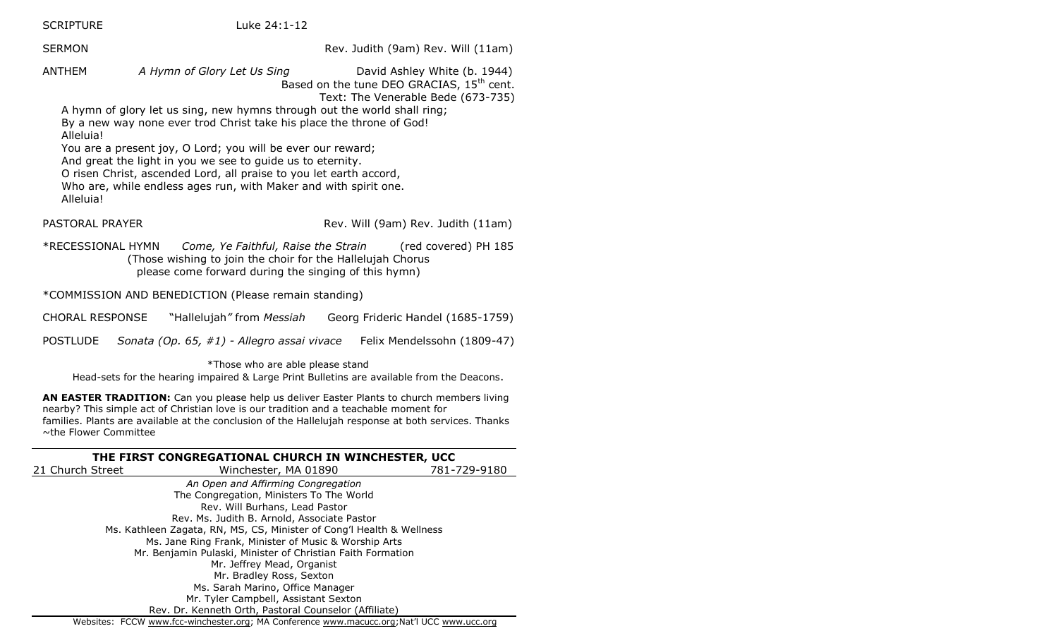SCRIPTURE Luke 24:1-12

SERMON **Rev. Judith (9am) Rev. Will (11am)** 

ANTHEM *A Hymn of Glory Let Us Sing* David Ashley White (b. 1944) Based on the tune DEO GRACIAS, 15<sup>th</sup> cent. Text: The Venerable Bede (673-735)

A hymn of glory let us sing, new hymns through out the world shall ring; By a new way none ever trod Christ take his place the throne of God! Alleluia!

You are a present joy, O Lord; you will be ever our reward;

And great the light in you we see to guide us to eternity.

O risen Christ, ascended Lord, all praise to you let earth accord, Who are, while endless ages run, with Maker and with spirit one.

Alleluia!

PASTORAL PRAYER **Rev. Will (9am) Rev. Judith (11am)** 

\*RECESSIONAL HYMN *Come, Ye Faithful, Raise the Strain* (red covered) PH 185 (Those wishing to join the choir for the Hallelujah Chorus please come forward during the singing of this hymn)

\*COMMISSION AND BENEDICTION (Please remain standing)

CHORAL RESPONSE "Hallelujah*"* from *Messiah* Georg Frideric Handel (1685-1759)

POSTLUDE *Sonata (Op. 65, #1) - Allegro assai vivace* Felix Mendelssohn (1809-47)

\*Those who are able please stand Head-sets for the hearing impaired & Large Print Bulletins are available from the Deacons.

**AN EASTER TRADITION:** Can you please help us deliver Easter Plants to church members living nearby? This simple act of Christian love is our tradition and a teachable moment for families. Plants are available at the conclusion of the Hallelujah response at both services. Thanks ~the Flower Committee

#### **THE FIRST CONGREGATIONAL CHURCH IN WINCHESTER, UCC** 21 Church Street Winchester, MA 01890 781-729-9180 *An Open and Affirming Congregation* The Congregation, Ministers To The World Rev. Will Burhans, Lead Pastor Rev. Ms. Judith B. Arnold, Associate Pastor Ms. Kathleen Zagata, RN, MS, CS, Minister of Cong'l Health & Wellness Ms. Jane Ring Frank, Minister of Music & Worship Arts Mr. Benjamin Pulaski, Minister of Christian Faith Formation Mr. Jeffrey Mead, Organist Mr. Bradley Ross, Sexton Ms. Sarah Marino, Office Manager Mr. Tyler Campbell, Assistant Sexton Rev. Dr. Kenneth Orth, Pastoral Counselor (Affiliate) Websites: FCCW [www.fcc-winchester.org;](http://www.fcc-winchester.org/) MA Conference [www.macucc.org](http://www.macucc.org/);Nat'l UCC [www.ucc.org](http://www.ucc.org/)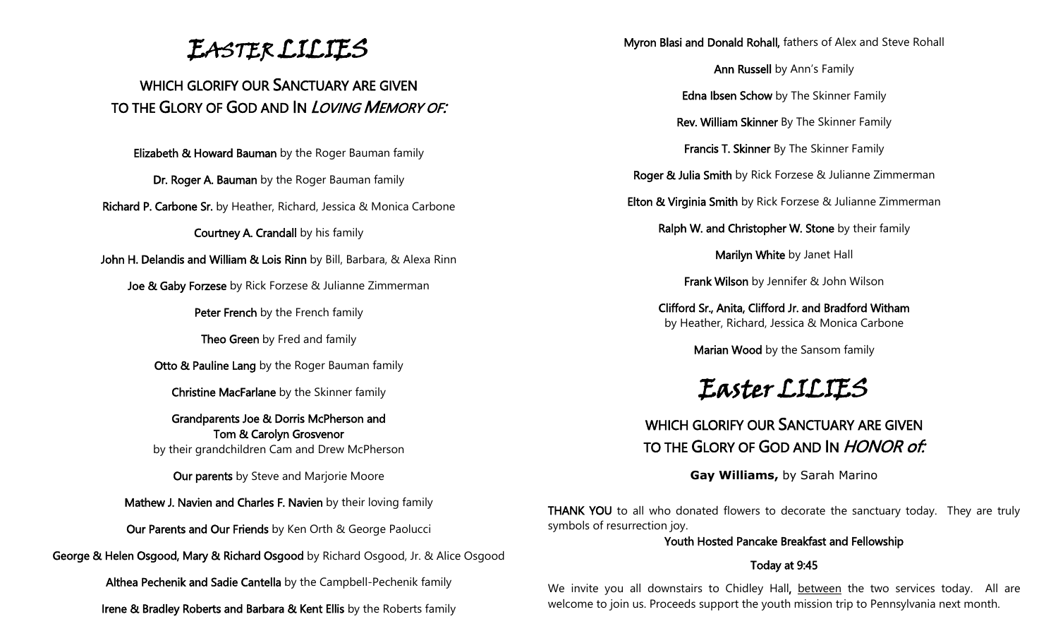EASTER LILIES

### WHICH GLORIFY OUR SANCTUARY ARE GIVEN TO THE GLORY OF GOD AND IN *LOVING MEMORY OF*:

Elizabeth & Howard Bauman by the Roger Bauman family

Dr. Roger A. Bauman by the Roger Bauman family

Richard P. Carbone Sr. by Heather, Richard, Jessica & Monica Carbone

Courtney A. Crandall by his family

John H. Delandis and William & Lois Rinn by Bill, Barbara, & Alexa Rinn

**Joe & Gaby Forzese** by Rick Forzese & Julianne Zimmerman

Peter French by the French family

Theo Green by Fred and family

Otto & Pauline Lang by the Roger Bauman family

Christine MacFarlane by the Skinner family

Grandparents Joe & Dorris McPherson and Tom & Carolyn Grosvenor by their grandchildren Cam and Drew McPherson

Our parents by Steve and Marjorie Moore

Mathew J. Navien and Charles F. Navien by their loving family

Our Parents and Our Friends by Ken Orth & George Paolucci

George & Helen Osgood, Mary & Richard Osgood by Richard Osgood, Jr. & Alice Osgood

Althea Pechenik and Sadie Cantella by the Campbell-Pechenik family

Irene & Bradley Roberts and Barbara & Kent Ellis by the Roberts family

Myron Blasi and Donald Rohall, fathers of Alex and Steve Rohall

Ann Russell by Ann's Family

Edna Ibsen Schow by The Skinner Family

Rev. William Skinner By The Skinner Family

Francis T. Skinner By The Skinner Family

Roger & Julia Smith by Rick Forzese & Julianne Zimmerman

Elton & Virginia Smith by Rick Forzese & Julianne Zimmerman

Ralph W. and Christopher W. Stone by their family

Marilyn White by Janet Hall

Frank Wilson by Jennifer & John Wilson

Clifford Sr., Anita, Clifford Jr. and Bradford Witham by Heather, Richard, Jessica & Monica Carbone

Marian Wood by the Sansom family

# Easter LILIES

### WHICH GLORIFY OUR SANCTUARY ARE GIVEN TO THE GLORY OF GOD AND IN HONOR of:

**Gay Williams,** by Sarah Marino

THANK YOU to all who donated flowers to decorate the sanctuary today. They are truly symbols of resurrection joy.

#### Youth Hosted Pancake Breakfast and Fellowship

#### Today at 9:45

We invite you all downstairs to Chidley Hall, between the two services today. All are welcome to join us. Proceeds support the youth mission trip to Pennsylvania next month.